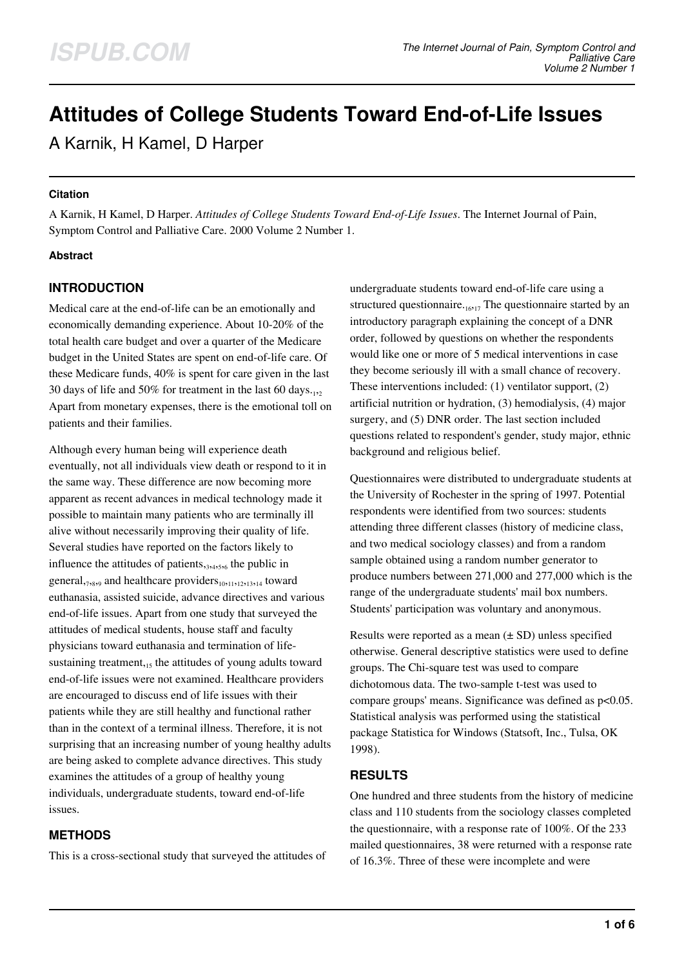# **Attitudes of College Students Toward End-of-Life Issues**

A Karnik, H Kamel, D Harper

#### **Citation**

A Karnik, H Kamel, D Harper. *Attitudes of College Students Toward End-of-Life Issues*. The Internet Journal of Pain, Symptom Control and Palliative Care. 2000 Volume 2 Number 1.

## **Abstract**

# **INTRODUCTION**

Medical care at the end-of-life can be an emotionally and economically demanding experience. About 10-20% of the total health care budget and over a quarter of the Medicare budget in the United States are spent on end-of-life care. Of these Medicare funds, 40% is spent for care given in the last 30 days of life and 50% for treatment in the last 60 days. $_{12}$ Apart from monetary expenses, there is the emotional toll on patients and their families.

Although every human being will experience death eventually, not all individuals view death or respond to it in the same way. These difference are now becoming more apparent as recent advances in medical technology made it possible to maintain many patients who are terminally ill alive without necessarily improving their quality of life. Several studies have reported on the factors likely to influence the attitudes of patients, 3,4,5,6 the public in general, <sub>7,8,9</sub> and healthcare providers<sub>10,11,12,13,14</sub> toward euthanasia, assisted suicide, advance directives and various end-of-life issues. Apart from one study that surveyed the attitudes of medical students, house staff and faculty physicians toward euthanasia and termination of lifesustaining treatment, $15$  the attitudes of young adults toward end-of-life issues were not examined. Healthcare providers are encouraged to discuss end of life issues with their patients while they are still healthy and functional rather than in the context of a terminal illness. Therefore, it is not surprising that an increasing number of young healthy adults are being asked to complete advance directives. This study examines the attitudes of a group of healthy young individuals, undergraduate students, toward end-of-life issues.

# **METHODS**

This is a cross-sectional study that surveyed the attitudes of

undergraduate students toward end-of-life care using a structured questionnaire. $_{16,17}$  The questionnaire started by an introductory paragraph explaining the concept of a DNR order, followed by questions on whether the respondents would like one or more of 5 medical interventions in case they become seriously ill with a small chance of recovery. These interventions included: (1) ventilator support, (2) artificial nutrition or hydration, (3) hemodialysis, (4) major surgery, and (5) DNR order. The last section included questions related to respondent's gender, study major, ethnic background and religious belief.

Questionnaires were distributed to undergraduate students at the University of Rochester in the spring of 1997. Potential respondents were identified from two sources: students attending three different classes (history of medicine class, and two medical sociology classes) and from a random sample obtained using a random number generator to produce numbers between 271,000 and 277,000 which is the range of the undergraduate students' mail box numbers. Students' participation was voluntary and anonymous.

Results were reported as a mean  $(\pm SD)$  unless specified otherwise. General descriptive statistics were used to define groups. The Chi-square test was used to compare dichotomous data. The two-sample t-test was used to compare groups' means. Significance was defined as p<0.05. Statistical analysis was performed using the statistical package Statistica for Windows (Statsoft, Inc., Tulsa, OK 1998).

# **RESULTS**

One hundred and three students from the history of medicine class and 110 students from the sociology classes completed the questionnaire, with a response rate of 100%. Of the 233 mailed questionnaires, 38 were returned with a response rate of 16.3%. Three of these were incomplete and were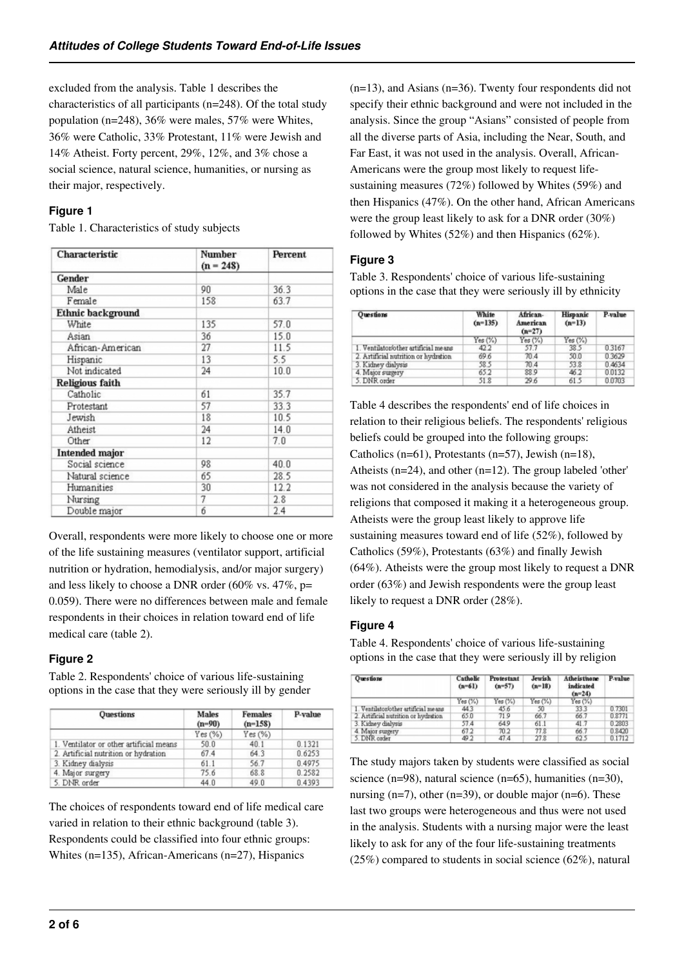excluded from the analysis. Table 1 describes the characteristics of all participants (n=248). Of the total study population (n=248), 36% were males, 57% were Whites, 36% were Catholic, 33% Protestant, 11% were Jewish and 14% Atheist. Forty percent, 29%, 12%, and 3% chose a social science, natural science, humanities, or nursing as their major, respectively.

## **Figure 1**

Table 1. Characteristics of study subjects

| Characteristic        | Number<br>$(n = 248)$ | Percent |  |
|-----------------------|-----------------------|---------|--|
| Gender                |                       |         |  |
| Male                  | 90                    | 36.3    |  |
| Female                | 158                   | 63.7    |  |
| Ethnic background     |                       |         |  |
| White                 | 135                   | 57.0    |  |
| Asian                 | 36                    | 15.0    |  |
| African-American      | 27                    | 11.5    |  |
| Hispanic              | 13                    | 5.5     |  |
| Not indicated         | 24                    | 10.0    |  |
| Religious faith       |                       |         |  |
| Catholic              | 61                    | 35.7    |  |
| Protestant            | 57                    | 33.3    |  |
| Jewish                | 18                    | 10.5    |  |
| Atheist               | 24                    | 14.0    |  |
| Other                 | 12                    | 7.0     |  |
| <b>Intended major</b> |                       |         |  |
| Social science        | 98                    | 40.0    |  |
| Natural science       | 65                    | 28.5    |  |
| Humanities            | 30                    | 12.2    |  |
| Nursing               | 7                     | 2.8     |  |
| Double major          | б                     | 2.4     |  |

Overall, respondents were more likely to choose one or more of the life sustaining measures (ventilator support, artificial nutrition or hydration, hemodialysis, and/or major surgery) and less likely to choose a DNR order (60% vs. 47%, p= 0.059). There were no differences between male and female respondents in their choices in relation toward end of life medical care (table 2).

# **Figure 2**

Table 2. Respondents' choice of various life-sustaining options in the case that they were seriously ill by gender

| <b>Questions</b>                        | <b>Males</b><br>$(n=90)$ | <b>Females</b><br>$(n=1.58)$ | P-value |
|-----------------------------------------|--------------------------|------------------------------|---------|
|                                         | Yes(%)                   | Yes(%)                       |         |
| 1. Ventilator or other artificial means | 50.0                     | 40.1                         | 0.1321  |
| 2. Artificial nutrition or hydration    | 67.4                     | 64.3                         | 0.6253  |
| 3. Kidney dialysis                      | 61.1                     | 56.7                         | 0.4975  |
| 4. Major surgery                        | 75.6                     | 68.8                         | 0.2582  |
| 5. DNR order                            | 44.0                     | 49.0                         | 0.4393  |

The choices of respondents toward end of life medical care varied in relation to their ethnic background (table 3). Respondents could be classified into four ethnic groups: Whites (n=135), African-Americans (n=27), Hispanics

(n=13), and Asians (n=36). Twenty four respondents did not specify their ethnic background and were not included in the analysis. Since the group "Asians" consisted of people from all the diverse parts of Asia, including the Near, South, and Far East, it was not used in the analysis. Overall, African-Americans were the group most likely to request lifesustaining measures (72%) followed by Whites (59%) and then Hispanics (47%). On the other hand, African Americans were the group least likely to ask for a DNR order (30%) followed by Whites (52%) and then Hispanics (62%).

# **Figure 3**

Table 3. Respondents' choice of various life-sustaining options in the case that they were seriously ill by ethnicity

| Questions                            | White<br>$(n=135)$ | African-<br>American<br>$(n=27)$ | Hispanic<br>$(n=13)$ | P-value |
|--------------------------------------|--------------------|----------------------------------|----------------------|---------|
|                                      | Yes(%)             | Yes(%)                           | Yes(%)               |         |
| 1. Ventilator/other artificial means | 42.2               | 57.7                             | 38.5                 | 0.3167  |
| 2. Artificial nutrition or hydration | 69.6               | 70.4                             | 50.0                 | 0.3629  |
| 3. Kidney dialysis                   | 58.5               | 70.4                             | 53.8                 | 0.4634  |
| 4. Major surgery                     | 65.2               | 88.9                             | 46.2                 | 0.0132  |
| 5. DNR order                         | 51.8               | 29.6                             | 61.5                 | 0.0703  |

Table 4 describes the respondents' end of life choices in relation to their religious beliefs. The respondents' religious beliefs could be grouped into the following groups: Catholics (n=61), Protestants (n=57), Jewish (n=18), Atheists (n=24), and other (n=12). The group labeled 'other' was not considered in the analysis because the variety of religions that composed it making it a heterogeneous group. Atheists were the group least likely to approve life sustaining measures toward end of life (52%), followed by Catholics (59%), Protestants (63%) and finally Jewish (64%). Atheists were the group most likely to request a DNR order (63%) and Jewish respondents were the group least likely to request a DNR order (28%).

## **Figure 4**

Table 4. Respondents' choice of various life-sustaining options in the case that they were seriously ill by religion

| Questions                            | Catholic<br>$(n=61)$ | Protestant<br>$(n=57)$ | Jewish<br>$(n-18)$ | Atheisthone<br>indicated<br>$(n=24)$ | P-value |
|--------------------------------------|----------------------|------------------------|--------------------|--------------------------------------|---------|
|                                      | Yes(%)               | Yes(%)                 | Yes(%)             | Yes (%)                              |         |
| 1. Ventilator/other artificial means | 443                  | 45.6                   | 50                 | 33.3                                 | 0.7301  |
| 2. Artificial nutrition or hydration | 65.0                 | 71.9                   | 66.7               | 66.7                                 | 0.8771  |
| 3. Kidney dialysis                   | 57.4                 | 64.9                   | 61.1               | 41.7                                 | 0.2803  |
| 4. Major surgery                     | 67.2                 | 70.2                   | 77.8               | 66.7                                 | 0.8420  |
| 5. DNR order                         | 49.2                 | 47.4                   | 27.8               | 62.5                                 | 0.1712  |

The study majors taken by students were classified as social science (n=98), natural science (n=65), humanities (n=30), nursing  $(n=7)$ , other  $(n=39)$ , or double major  $(n=6)$ . These last two groups were heterogeneous and thus were not used in the analysis. Students with a nursing major were the least likely to ask for any of the four life-sustaining treatments (25%) compared to students in social science (62%), natural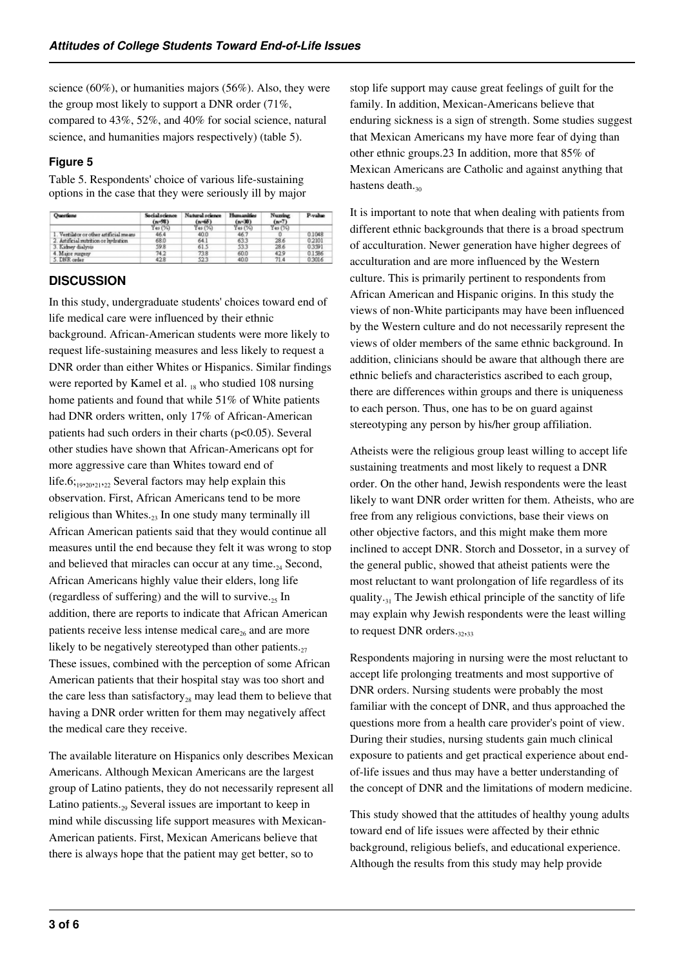science (60%), or humanities majors (56%). Also, they were the group most likely to support a DNR order (71%, compared to 43%, 52%, and 40% for social science, natural science, and humanities majors respectively) (table 5).

## **Figure 5**

Table 5. Respondents' choice of various life-sustaining options in the case that they were seriously ill by major

| Ouestions                               | <b>Social science</b><br>$(n - 98)$ | Natural science<br>$(n=65)$ | <b>Humanities</b><br>$(n = 30)$ | <b>Numing</b><br>$(n - 7)$ | P-value |
|-----------------------------------------|-------------------------------------|-----------------------------|---------------------------------|----------------------------|---------|
|                                         | Yes(%)                              | Yes(%)                      | Yes(%)                          | Yes(%)                     |         |
| 1. Ventilator or other artificial means | 46.4                                | 40.0                        | 46.7                            |                            | 0.1048  |
| 2. Astificial subtition or hydration.   | 68.0                                | 64.1                        | 63.3                            | 28.6                       | 0.2101  |
| 3. Kidney dialysis                      | 59.8                                | 61.5                        | 533                             | 28.6                       | 03991   |
| 4. Major surgery                        | 74.2                                | 73.8                        | 60.0                            | 429                        | 0.1586  |
| 5. DNR order                            | 428                                 | 523                         | 40.0                            | 71.4                       | 0.3016  |

# **DISCUSSION**

In this study, undergraduate students' choices toward end of life medical care were influenced by their ethnic background. African-American students were more likely to request life-sustaining measures and less likely to request a DNR order than either Whites or Hispanics. Similar findings were reported by Kamel et al.  $_{18}$  who studied 108 nursing home patients and found that while 51% of White patients had DNR orders written, only 17% of African-American patients had such orders in their charts (p<0.05). Several other studies have shown that African-Americans opt for more aggressive care than Whites toward end of life.6; $_{19,20,21,22}$  Several factors may help explain this observation. First, African Americans tend to be more religious than Whites. $23$  In one study many terminally ill African American patients said that they would continue all measures until the end because they felt it was wrong to stop and believed that miracles can occur at any time. $_{24}$  Second, African Americans highly value their elders, long life (regardless of suffering) and the will to survive. $_{25}$  In addition, there are reports to indicate that African American patients receive less intense medical care<sub>26</sub> and are more likely to be negatively stereotyped than other patients. $_{27}$ These issues, combined with the perception of some African American patients that their hospital stay was too short and the care less than satisfactory<sub>28</sub> may lead them to believe that having a DNR order written for them may negatively affect the medical care they receive.

The available literature on Hispanics only describes Mexican Americans. Although Mexican Americans are the largest group of Latino patients, they do not necessarily represent all Latino patients.<sub>29</sub> Several issues are important to keep in mind while discussing life support measures with Mexican-American patients. First, Mexican Americans believe that there is always hope that the patient may get better, so to

stop life support may cause great feelings of guilt for the family. In addition, Mexican-Americans believe that enduring sickness is a sign of strength. Some studies suggest that Mexican Americans my have more fear of dying than other ethnic groups.23 In addition, more that 85% of Mexican Americans are Catholic and against anything that hastens death. $_{30}$ 

It is important to note that when dealing with patients from different ethnic backgrounds that there is a broad spectrum of acculturation. Newer generation have higher degrees of acculturation and are more influenced by the Western culture. This is primarily pertinent to respondents from African American and Hispanic origins. In this study the views of non-White participants may have been influenced by the Western culture and do not necessarily represent the views of older members of the same ethnic background. In addition, clinicians should be aware that although there are ethnic beliefs and characteristics ascribed to each group, there are differences within groups and there is uniqueness to each person. Thus, one has to be on guard against stereotyping any person by his/her group affiliation.

Atheists were the religious group least willing to accept life sustaining treatments and most likely to request a DNR order. On the other hand, Jewish respondents were the least likely to want DNR order written for them. Atheists, who are free from any religious convictions, base their views on other objective factors, and this might make them more inclined to accept DNR. Storch and Dossetor, in a survey of the general public, showed that atheist patients were the most reluctant to want prolongation of life regardless of its quality.<sub>31</sub> The Jewish ethical principle of the sanctity of life may explain why Jewish respondents were the least willing to request DNR orders. $32,33$ 

Respondents majoring in nursing were the most reluctant to accept life prolonging treatments and most supportive of DNR orders. Nursing students were probably the most familiar with the concept of DNR, and thus approached the questions more from a health care provider's point of view. During their studies, nursing students gain much clinical exposure to patients and get practical experience about endof-life issues and thus may have a better understanding of the concept of DNR and the limitations of modern medicine.

This study showed that the attitudes of healthy young adults toward end of life issues were affected by their ethnic background, religious beliefs, and educational experience. Although the results from this study may help provide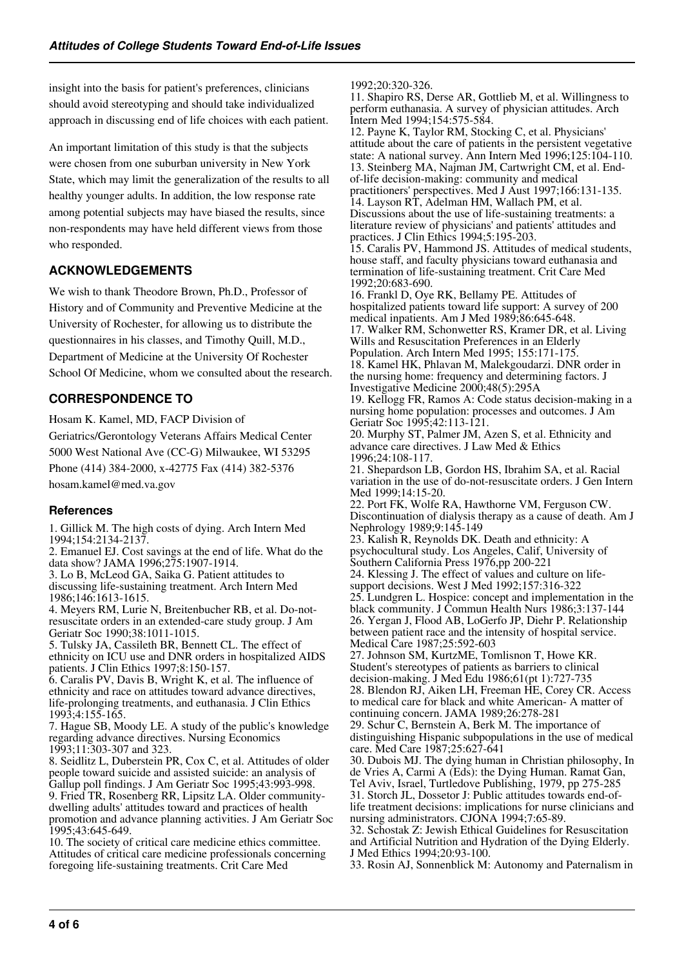insight into the basis for patient's preferences, clinicians should avoid stereotyping and should take individualized approach in discussing end of life choices with each patient.

An important limitation of this study is that the subjects were chosen from one suburban university in New York State, which may limit the generalization of the results to all healthy younger adults. In addition, the low response rate among potential subjects may have biased the results, since non-respondents may have held different views from those who responded.

# **ACKNOWLEDGEMENTS**

We wish to thank Theodore Brown, Ph.D., Professor of History and of Community and Preventive Medicine at the University of Rochester, for allowing us to distribute the questionnaires in his classes, and Timothy Quill, M.D., Department of Medicine at the University Of Rochester School Of Medicine, whom we consulted about the research.

## **CORRESPONDENCE TO**

Hosam K. Kamel, MD, FACP Division of Geriatrics/Gerontology Veterans Affairs Medical Center 5000 West National Ave (CC-G) Milwaukee, WI 53295 Phone (414) 384-2000, x-42775 Fax (414) 382-5376

hosam.kamel@med.va.gov

## **References**

1. Gillick M. The high costs of dying. Arch Intern Med 1994;154:2134-2137.

2. Emanuel EJ. Cost savings at the end of life. What do the data show? JAMA 1996;275:1907-1914.

3. Lo B, McLeod GA, Saika G. Patient attitudes to discussing life-sustaining treatment. Arch Intern Med 1986;146:1613-1615.

4. Meyers RM, Lurie N, Breitenbucher RB, et al. Do-notresuscitate orders in an extended-care study group. J Am Geriatr Soc 1990;38:1011-1015.

5. Tulsky JA, Cassileth BR, Bennett CL. The effect of ethnicity on ICU use and DNR orders in hospitalized AIDS patients. J Clin Ethics 1997;8:150-157.

6. Caralis PV, Davis B, Wright K, et al. The influence of ethnicity and race on attitudes toward advance directives, life-prolonging treatments, and euthanasia. J Clin Ethics 1993;4:155-165.

7. Hague SB, Moody LE. A study of the public's knowledge regarding advance directives. Nursing Economics 1993;11:303-307 and 323.

8. Seidlitz L, Duberstein PR, Cox C, et al. Attitudes of older people toward suicide and assisted suicide: an analysis of Gallup poll findings. J Am Geriatr Soc 1995;43:993-998. 9. Fried TR, Rosenberg RR, Lipsitz LA. Older communitydwelling adults' attitudes toward and practices of health promotion and advance planning activities. J Am Geriatr Soc 1995;43:645-649.

10. The society of critical care medicine ethics committee. Attitudes of critical care medicine professionals concerning foregoing life-sustaining treatments. Crit Care Med

1992;20:320-326.

11. Shapiro RS, Derse AR, Gottlieb M, et al. Willingness to perform euthanasia. A survey of physician attitudes. Arch Intern Med 1994;154:575-584.

12. Payne K, Taylor RM, Stocking C, et al. Physicians' attitude about the care of patients in the persistent vegetative state: A national survey. Ann Intern Med 1996;125:104-110. 13. Steinberg MA, Najman JM, Cartwright CM, et al. Endof-life decision-making: community and medical practitioners' perspectives. Med J Aust 1997;166:131-135. 14. Layson RT, Adelman HM, Wallach PM, et al. Discussions about the use of life-sustaining treatments: a literature review of physicians' and patients' attitudes and practices. J Clin Ethics 1994;5:195-203. 15. Caralis PV, Hammond JS. Attitudes of medical students, house staff, and faculty physicians toward euthanasia and termination of life-sustaining treatment. Crit Care Med 1992;20:683-690. 16. Frankl D, Oye RK, Bellamy PE. Attitudes of hospitalized patients toward life support: A survey of 200 medical inpatients. Am J Med 1989;86:645-648. 17. Walker RM, Schonwetter RS, Kramer DR, et al. Living Wills and Resuscitation Preferences in an Elderly Population. Arch Intern Med 1995; 155:171-175. 18. Kamel HK, Phlavan M, Malekgoudarzi. DNR order in the nursing home: frequency and determining factors. J Investigative Medicine 2000;48(5):295A 19. Kellogg FR, Ramos A: Code status decision-making in a nursing home population: processes and outcomes. J Am Geriatr Soc 1995;42:113-121. 20. Murphy ST, Palmer JM, Azen S, et al. Ethnicity and advance care directives. J Law Med & Ethics 1996;24:108-117. 21. Shepardson LB, Gordon HS, Ibrahim SA, et al. Racial variation in the use of do-not-resuscitate orders. J Gen Intern Med 1999;14:15-20. 22. Port FK, Wolfe RA, Hawthorne VM, Ferguson CW. Discontinuation of dialysis therapy as a cause of death. Am J Nephrology 1989;9:145-149 23. Kalish R, Reynolds DK. Death and ethnicity: A psychocultural study. Los Angeles, Calif, University of Southern California Press 1976,pp 200-221 24. Klessing J. The effect of values and culture on lifesupport decisions. West J Med 1992;157:316-322 25. Lundgren L. Hospice: concept and implementation in the black community. J Commun Health Nurs 1986;3:137-144 26. Yergan J, Flood AB, LoGerfo JP, Diehr P. Relationship between patient race and the intensity of hospital service. Medical Care 1987;25:592-603 27. Johnson SM, KurtzME, Tomlisnon T, Howe KR. Student's stereotypes of patients as barriers to clinical decision-making. J Med Edu 1986;61(pt 1):727-735 28. Blendon RJ, Aiken LH, Freeman HE, Corey CR. Access to medical care for black and white American- A matter of

continuing concern. JAMA 1989;26:278-281 29. Schur C, Bernstein A, Berk M. The importance of distinguishing Hispanic subpopulations in the use of medical care. Med Care 1987;25:627-641

30. Dubois MJ. The dying human in Christian philosophy, In de Vries A, Carmi A (Eds): the Dying Human. Ramat Gan, Tel Aviv, Israel, Turtledove Publishing, 1979, pp 275-285 31. Storch JL, Dossetor J: Public attitudes towards end-oflife treatment decisions: implications for nurse clinicians and nursing administrators. CJONA 1994;7:65-89.

32. Schostak Z: Jewish Ethical Guidelines for Resuscitation and Artificial Nutrition and Hydration of the Dying Elderly. J Med Ethics 1994;20:93-100.

33. Rosin AJ, Sonnenblick M: Autonomy and Paternalism in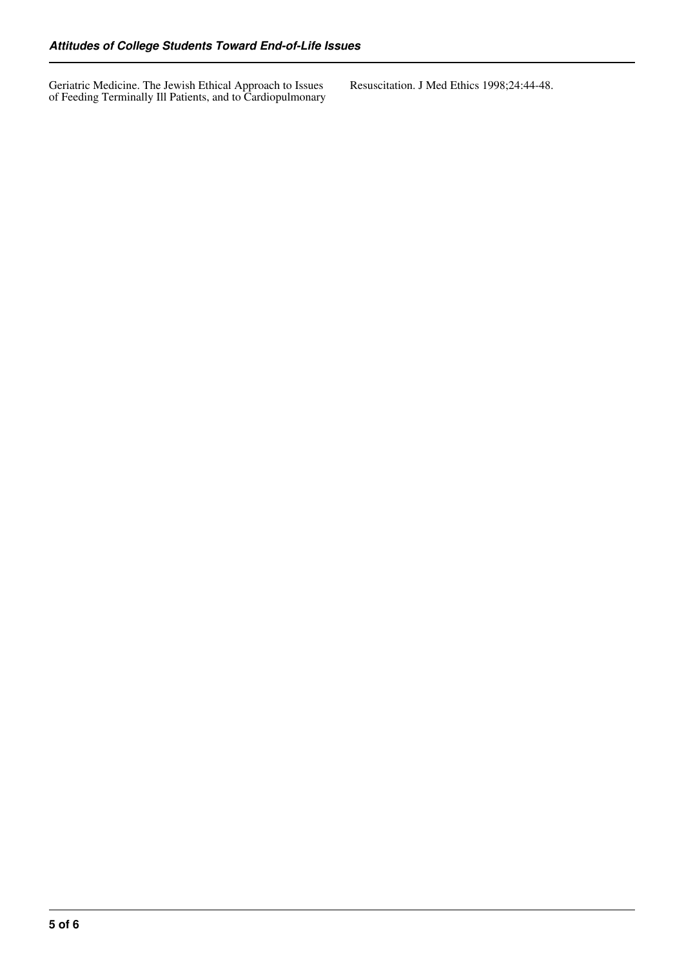Geriatric Medicine. The Jewish Ethical Approach to Issues of Feeding Terminally Ill Patients, and to Cardiopulmonary Resuscitation. J Med Ethics 1998;24:44-48.